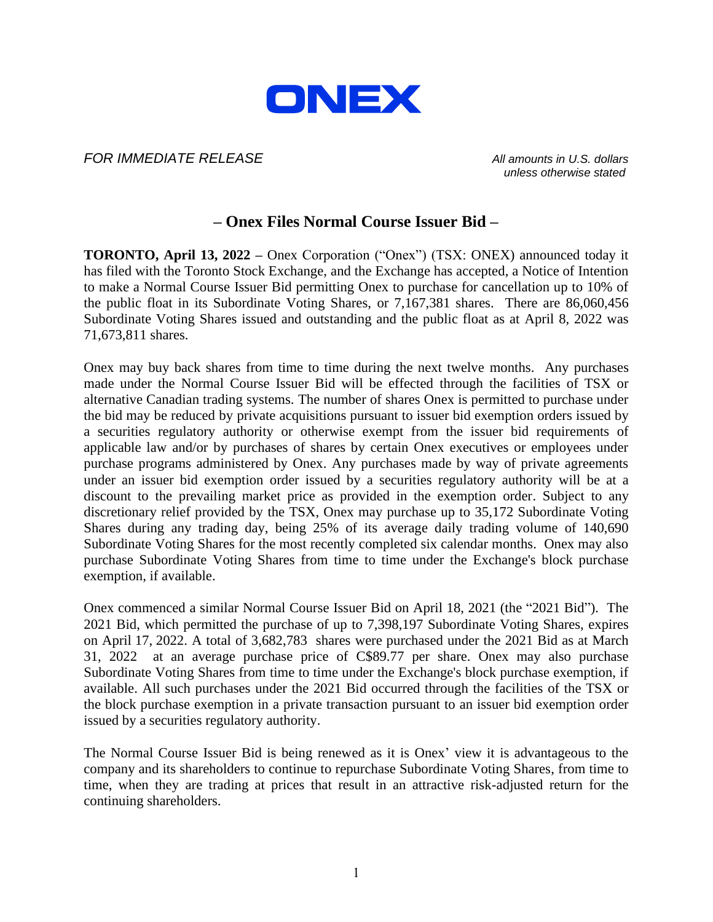

## *FOR IMMEDIATE RELEASE All amounts in U.S. dollars*

*unless otherwise stated*

# **– Onex Files Normal Course Issuer Bid –**

**TORONTO, April 13, 2022 –** Onex Corporation ("Onex") (TSX: ONEX) announced today it has filed with the Toronto Stock Exchange, and the Exchange has accepted, a Notice of Intention to make a Normal Course Issuer Bid permitting Onex to purchase for cancellation up to 10% of the public float in its Subordinate Voting Shares, or 7,167,381 shares. There are 86,060,456 Subordinate Voting Shares issued and outstanding and the public float as at April 8, 2022 was 71,673,811 shares.

Onex may buy back shares from time to time during the next twelve months. Any purchases made under the Normal Course Issuer Bid will be effected through the facilities of TSX or alternative Canadian trading systems. The number of shares Onex is permitted to purchase under the bid may be reduced by private acquisitions pursuant to issuer bid exemption orders issued by a securities regulatory authority or otherwise exempt from the issuer bid requirements of applicable law and/or by purchases of shares by certain Onex executives or employees under purchase programs administered by Onex. Any purchases made by way of private agreements under an issuer bid exemption order issued by a securities regulatory authority will be at a discount to the prevailing market price as provided in the exemption order. Subject to any discretionary relief provided by the TSX, Onex may purchase up to 35,172 Subordinate Voting Shares during any trading day, being 25% of its average daily trading volume of 140,690 Subordinate Voting Shares for the most recently completed six calendar months. Onex may also purchase Subordinate Voting Shares from time to time under the Exchange's block purchase exemption, if available.

Onex commenced a similar Normal Course Issuer Bid on April 18, 2021 (the "2021 Bid"). The 2021 Bid, which permitted the purchase of up to 7,398,197 Subordinate Voting Shares, expires on April 17, 2022. A total of 3,682,783 shares were purchased under the 2021 Bid as at March 31, 2022 at an average purchase price of C\$89.77 per share. Onex may also purchase Subordinate Voting Shares from time to time under the Exchange's block purchase exemption, if available. All such purchases under the 2021 Bid occurred through the facilities of the TSX or the block purchase exemption in a private transaction pursuant to an issuer bid exemption order issued by a securities regulatory authority.

The Normal Course Issuer Bid is being renewed as it is Onex' view it is advantageous to the company and its shareholders to continue to repurchase Subordinate Voting Shares, from time to time, when they are trading at prices that result in an attractive risk-adjusted return for the continuing shareholders.